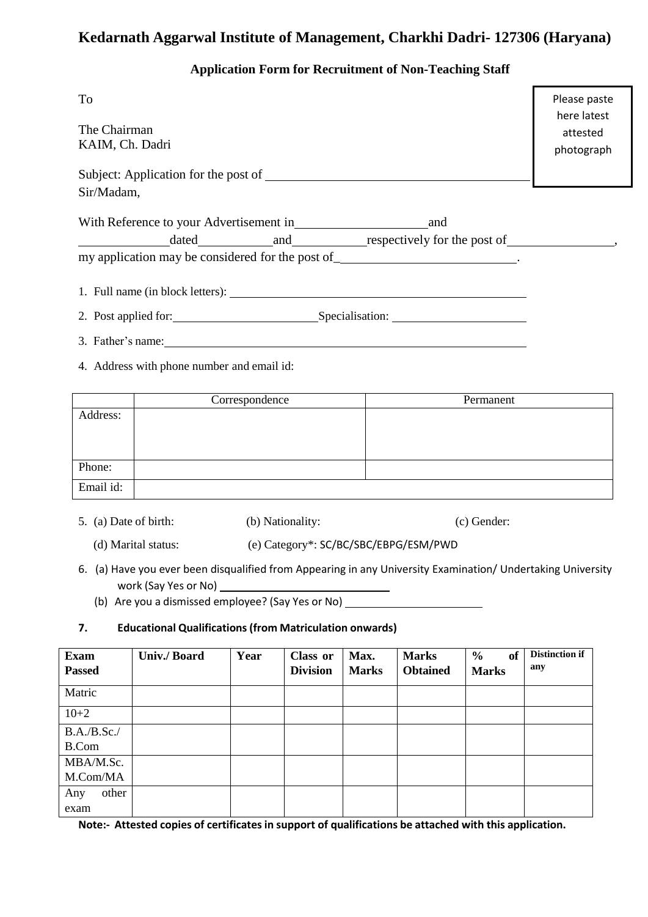## **Kedarnath Aggarwal Institute of Management, Charkhi Dadri- 127306 (Haryana)**

## **Application Form for Recruitment of Non-Teaching Staff**

| To                                                                                      | Please paste<br>here latest |
|-----------------------------------------------------------------------------------------|-----------------------------|
| The Chairman<br>KAIM, Ch. Dadri                                                         | attested<br>photograph      |
|                                                                                         |                             |
| Sir/Madam,                                                                              |                             |
| With Reference to your Advertisement in<br>and                                          |                             |
| dated and respectively for the post of determining and and respectively for the post of |                             |
| my application may be considered for the post of _______________________________.       |                             |
| 1. Full name (in block letters):                                                        |                             |
| 2. Post applied for: Specialisation:                                                    |                             |
| 3. Father's name:                                                                       |                             |
| 4. Address with phone number and email id:                                              |                             |

|           | Correspondence | Permanent |
|-----------|----------------|-----------|
| Address:  |                |           |
|           |                |           |
|           |                |           |
|           |                |           |
| Phone:    |                |           |
| Email id: |                |           |

- 5. (a) Date of birth: (b) Nationality: (c) Gender:
	- (d) Marital status: (e) Category\*: SC/BC/SBC/EBPG/ESM/PWD
- 6. (a) Have you ever been disqualified from Appearing in any University Examination/ Undertaking University work (Say Yes or No)
	- (b) Are you a dismissed employee? (Say Yes or No)

## **7. Educational Qualifications(from Matriculation onwards)**

| <b>Exam</b><br><b>Passed</b> | Univ./Board | Year | Class or<br><b>Division</b> | Max.<br><b>Marks</b> | <b>Marks</b><br><b>Obtained</b> | $\frac{6}{6}$<br>of<br><b>Marks</b> | <b>Distinction if</b><br>any |
|------------------------------|-------------|------|-----------------------------|----------------------|---------------------------------|-------------------------------------|------------------------------|
| Matric                       |             |      |                             |                      |                                 |                                     |                              |
| $10+2$                       |             |      |                             |                      |                                 |                                     |                              |
| B.A./B.Sc./                  |             |      |                             |                      |                                 |                                     |                              |
| B.Com                        |             |      |                             |                      |                                 |                                     |                              |
| MBA/M.Sc.                    |             |      |                             |                      |                                 |                                     |                              |
| M.Com/MA                     |             |      |                             |                      |                                 |                                     |                              |
| other<br>Any                 |             |      |                             |                      |                                 |                                     |                              |
| exam                         |             |      |                             |                      |                                 |                                     |                              |

**Note:- Attested copies of certificates in support of qualifications be attached with this application.**